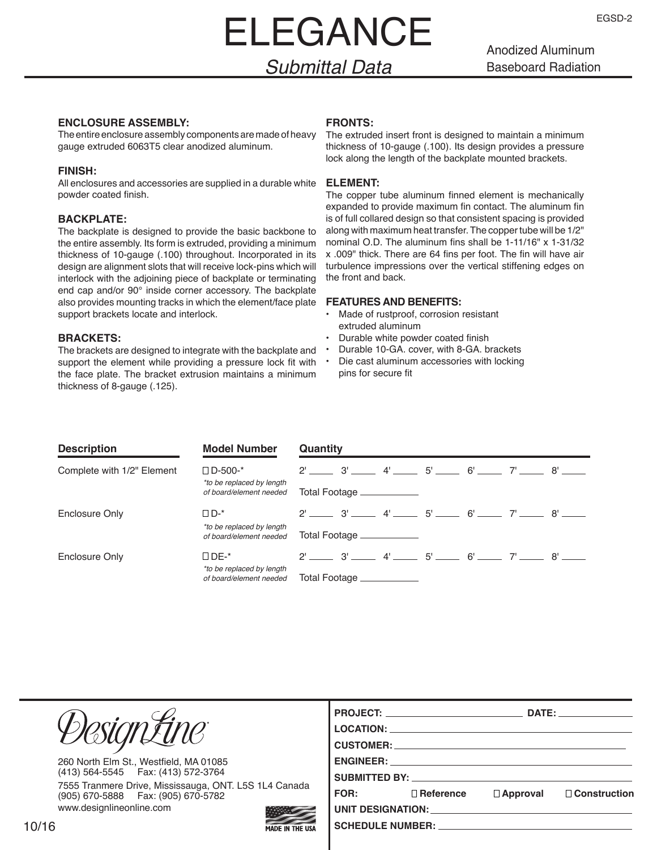# ELEGANCE

Anodized Aluminum Baseboard Radiation

### *Submittal Data*

#### **ENCLOSURE ASSEMBLY:**

The entire enclosure assembly components are made of heavy gauge extruded 6063T5 clear anodized aluminum.

#### **FINISH:**

All enclosures and accessories are supplied in a durable white powder coated finish.

#### **BACKPLATE:**

The backplate is designed to provide the basic backbone to the entire assembly. Its form is extruded, providing a minimum thickness of 10-gauge (.100) throughout. Incorporated in its design are alignment slots that will receive lock-pins which will interlock with the adjoining piece of backplate or terminating end cap and/or 90° inside corner accessory. The backplate also provides mounting tracks in which the element/face plate support brackets locate and interlock.

#### **BRACKETS:**

The brackets are designed to integrate with the backplate and support the element while providing a pressure lock fit with the face plate. The bracket extrusion maintains a minimum thickness of 8-gauge (.125).

#### **FRONTS:**

The extruded insert front is designed to maintain a minimum thickness of 10-gauge (.100). Its design provides a pressure lock along the length of the backplate mounted brackets.

#### **ELEMENT:**

The copper tube aluminum finned element is mechanically expanded to provide maximum fin contact. The aluminum fin is of full collared design so that consistent spacing is provided along with maximum heat transfer. The copper tube will be 1/2" nominal O.D. The aluminum fins shall be 1-11/16" x 1-31/32 x .009" thick. There are 64 fins per foot. The fin will have air turbulence impressions over the vertical stiffening edges on the front and back.

#### **FEATURES AND BENEFITS:**

- Made of rustproof, corrosion resistant extruded aluminum
- Durable white powder coated finish
- Durable 10-GA. cover, with 8-GA. brackets
	- Die cast aluminum accessories with locking pins for secure fit

| <b>Description</b>         | <b>Model Number</b>                                  | Quantity                                |  |  |  |  |
|----------------------------|------------------------------------------------------|-----------------------------------------|--|--|--|--|
| Complete with 1/2" Element | $\square$ D-500-*<br>*to be replaced by length       | $2'$ 3' $4'$ 5' $6'$ $7'$ $8'$ $8'$     |  |  |  |  |
|                            | of board/element needed                              | Total Footage ____________              |  |  |  |  |
| Enclosure Only             | $\Box$ D-*                                           | $2'$ 3' $4'$ 5' $6'$ $7'$ $8'$ $8'$     |  |  |  |  |
|                            | *to be replaced by length<br>of board/element needed | Total Footage ____________              |  |  |  |  |
| Enclosure Only             | $\square$ DE-*                                       | $2'$ $3'$ $4'$ $5'$ $6'$ $7'$ $8'$ $8'$ |  |  |  |  |
|                            | *to be replaced by length<br>of board/element needed | Total Footage ____________              |  |  |  |  |

|                                                                                               |                        |             |                                                                                                                                                                                                                                     |                 | DATE: the contract of the contract of the contract of the contract of the contract of the contract of the contract of the contract of the contract of the contract of the contract of the contract of the contract of the cont |
|-----------------------------------------------------------------------------------------------|------------------------|-------------|-------------------------------------------------------------------------------------------------------------------------------------------------------------------------------------------------------------------------------------|-----------------|--------------------------------------------------------------------------------------------------------------------------------------------------------------------------------------------------------------------------------|
| resiontine                                                                                    |                        |             | LOCATION: New York State State State State State State State State State State State State State State State State State State State State State State State State State State State State State State State State State State      |                 |                                                                                                                                                                                                                                |
|                                                                                               |                        |             | <b>CUSTOMER:</b> The contract of the contract of the contract of the contract of the contract of the contract of the contract of the contract of the contract of the contract of the contract of the contract of the contract of th |                 |                                                                                                                                                                                                                                |
| 260 North Elm St., Westfield, MA 01085                                                        |                        |             |                                                                                                                                                                                                                                     |                 |                                                                                                                                                                                                                                |
| (413) 564-5545   Fax: (413) 572-3764                                                          |                        |             | SUBMITTED BY: The SUBMITTED BY:                                                                                                                                                                                                     |                 |                                                                                                                                                                                                                                |
| 7555 Tranmere Drive, Mississauga, ONT. L5S 1L4 Canada<br>(905) 670-5888   Fax: (905) 670-5782 |                        | <b>FOR:</b> | $\Box$ Reference                                                                                                                                                                                                                    | $\Box$ Approval | $\Box$ Construction                                                                                                                                                                                                            |
| www.designlineonline.com                                                                      |                        |             | UNIT DESIGNATION: THE RESIGNATION OF THE RESIGNATION.                                                                                                                                                                               |                 |                                                                                                                                                                                                                                |
| 6                                                                                             | <b>MADE IN THE USA</b> |             | SCHEDULE NUMBER: ________________                                                                                                                                                                                                   |                 |                                                                                                                                                                                                                                |